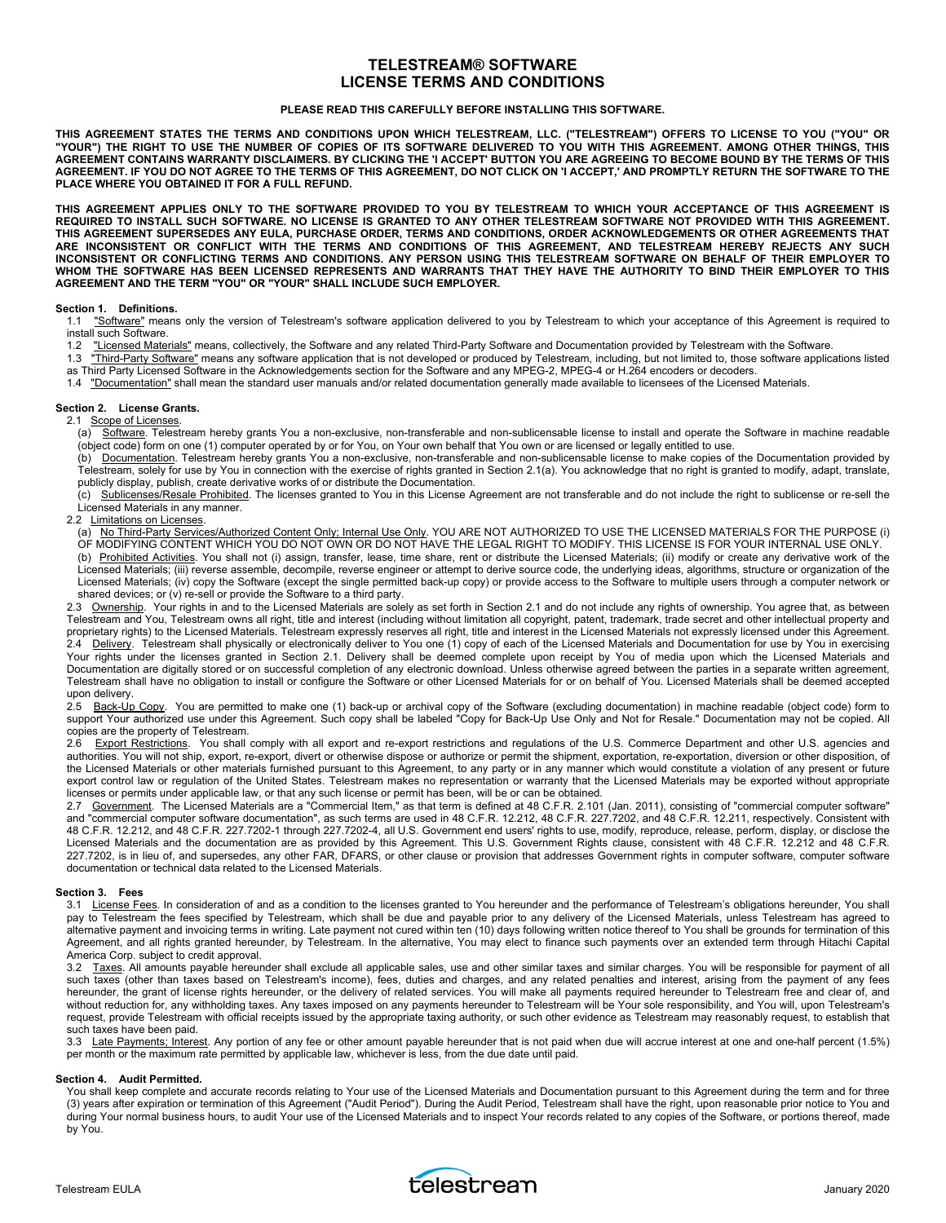# **TELESTREAM® SOFTWARE LICENSE TERMS AND CONDITIONS**

## **PLEASE READ THIS CAREFULLY BEFORE INSTALLING THIS SOFTWARE.**

**THIS AGREEMENT STATES THE TERMS AND CONDITIONS UPON WHICH TELESTREAM, LLC. ("TELESTREAM") OFFERS TO LICENSE TO YOU ("YOU" OR "YOUR") THE RIGHT TO USE THE NUMBER OF COPIES OF ITS SOFTWARE DELIVERED TO YOU WITH THIS AGREEMENT. AMONG OTHER THINGS, THIS AGREEMENT CONTAINS WARRANTY DISCLAIMERS. BY CLICKING THE 'I ACCEPT' BUTTON YOU ARE AGREEING TO BECOME BOUND BY THE TERMS OF THIS AGREEMENT. IF YOU DO NOT AGREE TO THE TERMS OF THIS AGREEMENT, DO NOT CLICK ON 'I ACCEPT,' AND PROMPTLY RETURN THE SOFTWARE TO THE PLACE WHERE YOU OBTAINED IT FOR A FULL REFUND.** 

**THIS AGREEMENT APPLIES ONLY TO THE SOFTWARE PROVIDED TO YOU BY TELESTREAM TO WHICH YOUR ACCEPTANCE OF THIS AGREEMENT IS REQUIRED TO INSTALL SUCH SOFTWARE. NO LICENSE IS GRANTED TO ANY OTHER TELESTREAM SOFTWARE NOT PROVIDED WITH THIS AGREEMENT. THIS AGREEMENT SUPERSEDES ANY EULA, PURCHASE ORDER, TERMS AND CONDITIONS, ORDER ACKNOWLEDGEMENTS OR OTHER AGREEMENTS THAT ARE INCONSISTENT OR CONFLICT WITH THE TERMS AND CONDITIONS OF THIS AGREEMENT, AND TELESTREAM HEREBY REJECTS ANY SUCH INCONSISTENT OR CONFLICTING TERMS AND CONDITIONS. ANY PERSON USING THIS TELESTREAM SOFTWARE ON BEHALF OF THEIR EMPLOYER TO WHOM THE SOFTWARE HAS BEEN LICENSED REPRESENTS AND WARRANTS THAT THEY HAVE THE AUTHORITY TO BIND THEIR EMPLOYER TO THIS AGREEMENT AND THE TERM "YOU" OR "YOUR" SHALL INCLUDE SUCH EMPLOYER.** 

#### **Section 1. Definitions.**

1.1 "Software" means only the version of Telestream's software application delivered to you by Telestream to which your acceptance of this Agreement is required to install such Software.

- 1.2 "Licensed Materials" means, collectively, the Software and any related Third-Party Software and Documentation provided by Telestream with the Software.
- 1.3 "Third-Party Software" means any software application that is not developed or produced by Telestream, including, but not limited to, those software applications listed as Third Party Licensed Software in the Acknowledgements section for the Software and any MPEG-2, MPEG-4 or H.264 encoders or decoders.
- 
- 1.4 "Documentation" shall mean the standard user manuals and/or related documentation generally made available to licensees of the Licensed Materials.

## **Section 2. License Grants.**

2.1 Scope of Licenses.

(a) Software. Telestream hereby grants You a non-exclusive, non-transferable and non-sublicensable license to install and operate the Software in machine readable (object code) form on one (1) computer operated by or for You, on Your own behalf that You own or are licensed or legally entitled to use.

(b) Documentation. Telestream hereby grants You a non-exclusive, non-transferable and non-sublicensable license to make copies of the Documentation provided by Telestream, solely for use by You in connection with the exercise of rights granted in Section 2.1(a). You acknowledge that no right is granted to modify, adapt, translate, publicly display, publish, create derivative works of or distribute the Documentation.

(c) Sublicenses/Resale Prohibited. The licenses granted to You in this License Agreement are not transferable and do not include the right to sublicense or re-sell the Licensed Materials in any manner.

#### 2.2 Limitations on Licenses.

(a) No Third-Party Services/Authorized Content Only; Internal Use Only. YOU ARE NOT AUTHORIZED TO USE THE LICENSED MATERIALS FOR THE PURPOSE (i) OF MODIFYING CONTENT WHICH YOU DO NOT OWN OR DO NOT HAVE THE LEGAL RIGHT TO MODIFY. THIS LICENSE IS FOR YOUR INTERNAL USE ONLY. (b) Prohibited Activities. You shall not (i) assign, transfer, lease, time share, rent or distribute the Licensed Materials; (ii) modify or create any derivative work of the Licensed Materials; (iii) reverse assemble, decompile, reverse engineer or attempt to derive source code, the underlying ideas, algorithms, structure or organization of the Licensed Materials; (iv) copy the Software (except the single permitted back-up copy) or provide access to the Software to multiple users through a computer network or shared devices; or (v) re-sell or provide the Software to a third party.

2.3 Ownership. Your rights in and to the Licensed Materials are solely as set forth in Section 2.1 and do not include any rights of ownership. You agree that, as between Telestream and You, Telestream owns all right, title and interest (including without limitation all copyright, patent, trademark, trade secret and other intellectual property and proprietary rights) to the Licensed Materials. Telestream expressly reserves all right, title and interest in the Licensed Materials not expressly licensed under this Agreement. 2.4 Delivery. Telestream shall physically or electronically deliver to You one (1) copy of each of the Licensed Materials and Documentation for use by You in exercising Your rights under the licenses granted in Section 2.1. Delivery shall be deemed complete upon receipt by You of media upon which the Licensed Materials and Documentation are digitally stored or on successful completion of any electronic download. Unless otherwise agreed between the parties in a separate written agreement, Telestream shall have no obligation to install or configure the Software or other Licensed Materials for or on behalf of You. Licensed Materials shall be deemed accepted upon delivery.

2.5 Back-Up Copy. You are permitted to make one (1) back-up or archival copy of the Software (excluding documentation) in machine readable (object code) form to support Your authorized use under this Agreement. Such copy shall be labeled "Copy for Back-Up Use Only and Not for Resale." Documentation may not be copied. All copies are the property of Telestream.

2.6 Export Restrictions. You shall comply with all export and re-export restrictions and regulations of the U.S. Commerce Department and other U.S. agencies and authorities. You will not ship, export, re-export, divert or otherwise dispose or authorize or permit the shipment, exportation, re-exportation, diversion or other disposition, of the Licensed Materials or other materials furnished pursuant to this Agreement, to any party or in any manner which would constitute a violation of any present or future export control law or regulation of the United States. Telestream makes no representation or warranty that the Licensed Materials may be exported without appropriate licenses or permits under applicable law, or that any such license or permit has been, will be or can be obtained.

2.7 <u>Government</u>. The Licensed Materials are a "Commercial Item," as that term is defined at 48 C.F.R. 2.101 (Jan. 2011), consisting of "commercial computer software" and "commercial computer software documentation", as such terms are used in 48 C.F.R. 12.212, 48 C.F.R. 227.7202, and 48 C.F.R. 12.211, respectively. Consistent with 48 C.F.R. 12.212, and 48 C.F.R. 227.7202-1 through 227.7202-4, all U.S. Government end users' rights to use, modify, reproduce, release, perform, display, or disclose the Licensed Materials and the documentation are as provided by this Agreement. This U.S. Government Rights clause, consistent with 48 C.F.R. 12.212 and 48 C.F.R. 227.7202, is in lieu of, and supersedes, any other FAR, DFARS, or other clause or provision that addresses Government rights in computer software, computer software documentation or technical data related to the Licensed Materials.

## **Section 3. Fees**

3.1 License Fees. In consideration of and as a condition to the licenses granted to You hereunder and the performance of Telestream's obligations hereunder, You shall pay to Telestream the fees specified by Telestream, which shall be due and payable prior to any delivery of the Licensed Materials, unless Telestream has agreed to alternative payment and invoicing terms in writing. Late payment not cured within ten (10) days following written notice thereof to You shall be grounds for termination of this Agreement, and all rights granted hereunder, by Telestream. In the alternative, You may elect to finance such payments over an extended term through Hitachi Capital America Corp. subject to credit approval.

3.2 Taxes. All amounts payable hereunder shall exclude all applicable sales, use and other similar taxes and similar charges. You will be responsible for payment of all such taxes (other than taxes based on Telestream's income), fees, duties and charges, and any related penalties and interest, arising from the payment of any fees hereunder, the grant of license rights hereunder, or the delivery of related services. You will make all payments required hereunder to Telestream free and clear of, and without reduction for, any withholding taxes. Any taxes imposed on any payments hereunder to Telestream will be Your sole responsibility, and You will, upon Telestream's request, provide Telestream with official receipts issued by the appropriate taxing authority, or such other evidence as Telestream may reasonably request, to establish that such taxes have been paid.

3.3 Late Payments; Interest. Any portion of any fee or other amount payable hereunder that is not paid when due will accrue interest at one and one-half percent (1.5%) per month or the maximum rate permitted by applicable law, whichever is less, from the due date until paid.

## **Section 4. Audit Permitted.**

You shall keep complete and accurate records relating to Your use of the Licensed Materials and Documentation pursuant to this Agreement during the term and for three (3) years after expiration or termination of this Agreement ("Audit Period"). During the Audit Period, Telestream shall have the right, upon reasonable prior notice to You and during Your normal business hours, to audit Your use of the Licensed Materials and to inspect Your records related to any copies of the Software, or portions thereof, made by You.